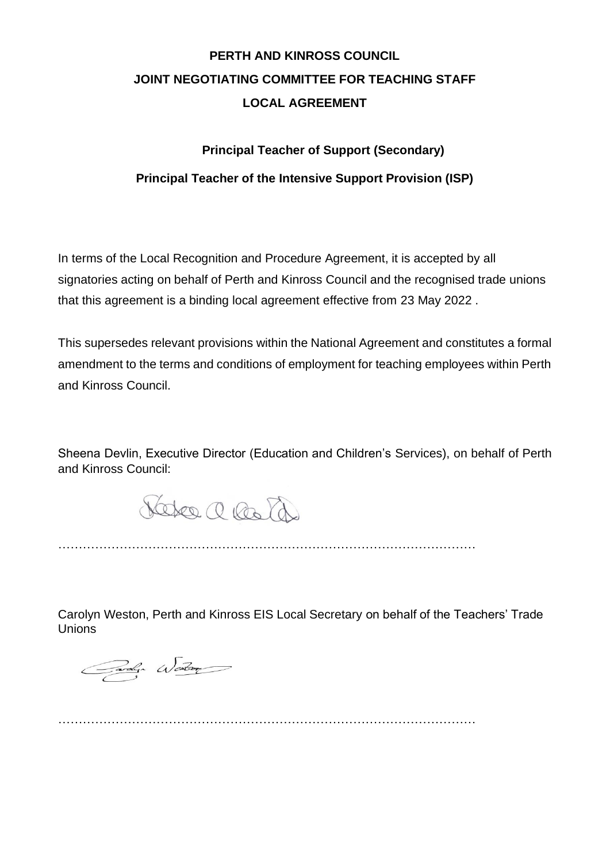# **PERTH AND KINROSS COUNCIL JOINT NEGOTIATING COMMITTEE FOR TEACHING STAFF LOCAL AGREEMENT**

# **Principal Teacher of Support (Secondary)**

# **Principal Teacher of the Intensive Support Provision (ISP)**

In terms of the Local Recognition and Procedure Agreement, it is accepted by all signatories acting on behalf of Perth and Kinross Council and the recognised trade unions that this agreement is a binding local agreement effective from 23 May 2022 .

This supersedes relevant provisions within the National Agreement and constitutes a formal amendment to the terms and conditions of employment for teaching employees within Perth and Kinross Council.

Sheena Devlin, Executive Director (Education and Children's Services), on behalf of Perth and Kinross Council:

Veter a lots

…………………………………………………………………………………………

Carolyn Weston, Perth and Kinross EIS Local Secretary on behalf of the Teachers' Trade Unions

Carolyn Western

…………………………………………………………………………………………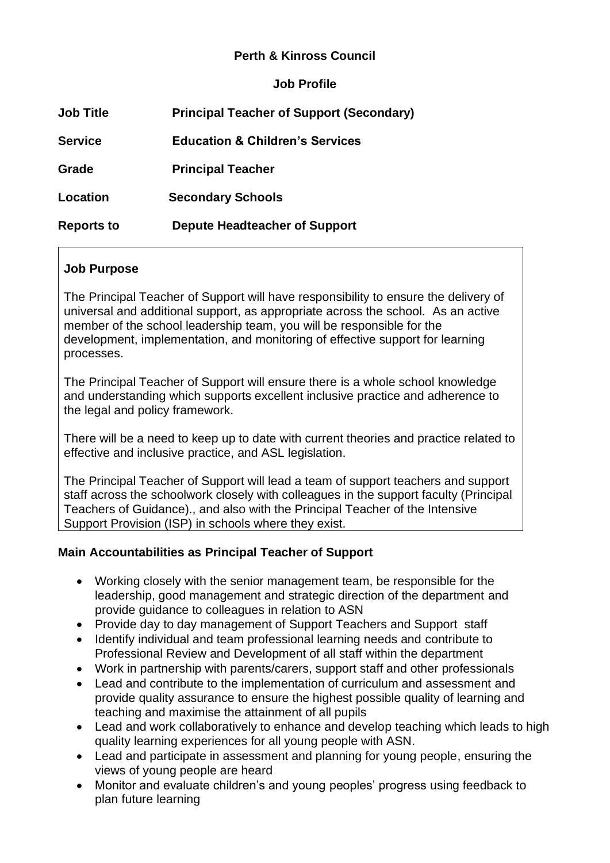# **Perth & Kinross Council**

**Job Profile** 

| <b>Job Title</b>  | <b>Principal Teacher of Support (Secondary)</b> |
|-------------------|-------------------------------------------------|
| <b>Service</b>    | <b>Education &amp; Children's Services</b>      |
| <b>Grade</b>      | <b>Principal Teacher</b>                        |
| Location          | <b>Secondary Schools</b>                        |
| <b>Reports to</b> | Depute Headteacher of Support                   |

# **Job Purpose**

The Principal Teacher of Support will have responsibility to ensure the delivery of universal and additional support, as appropriate across the school. As an active member of the school leadership team, you will be responsible for the development, implementation, and monitoring of effective support for learning processes.

The Principal Teacher of Support will ensure there is a whole school knowledge and understanding which supports excellent inclusive practice and adherence to the legal and policy framework.

There will be a need to keep up to date with current theories and practice related to effective and inclusive practice, and ASL legislation.

The Principal Teacher of Support will lead a team of support teachers and support staff across the schoolwork closely with colleagues in the support faculty (Principal Teachers of Guidance)., and also with the Principal Teacher of the Intensive Support Provision (ISP) in schools where they exist.

# **Main Accountabilities as Principal Teacher of Support**

- Working closely with the senior management team, be responsible for the leadership, good management and strategic direction of the department and provide guidance to colleagues in relation to ASN
- Provide day to day management of Support Teachers and Support staff
- Identify individual and team professional learning needs and contribute to Professional Review and Development of all staff within the department
- Work in partnership with parents/carers, support staff and other professionals
- Lead and contribute to the implementation of curriculum and assessment and provide quality assurance to ensure the highest possible quality of learning and teaching and maximise the attainment of all pupils
- Lead and work collaboratively to enhance and develop teaching which leads to high quality learning experiences for all young people with ASN.
- Lead and participate in assessment and planning for young people, ensuring the views of young people are heard
- Monitor and evaluate children's and young peoples' progress using feedback to plan future learning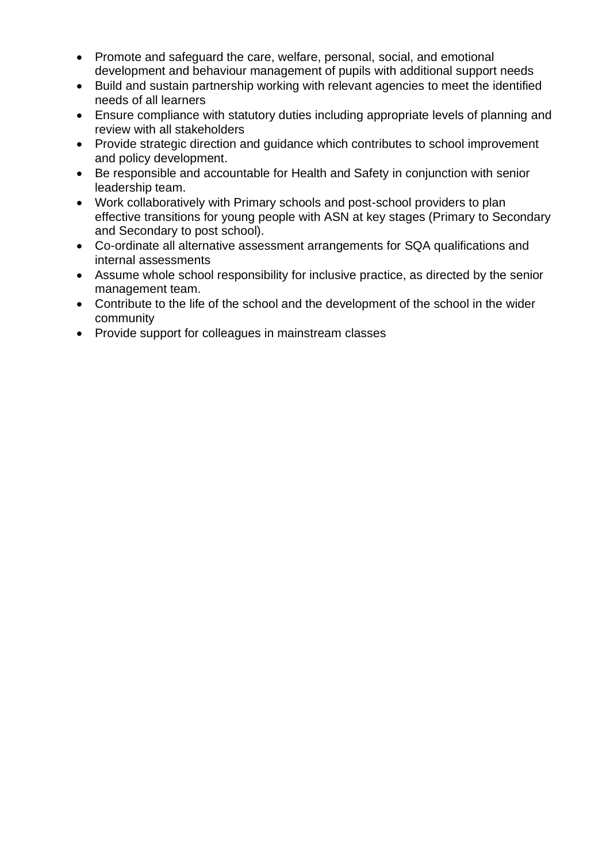- Promote and safeguard the care, welfare, personal, social, and emotional development and behaviour management of pupils with additional support needs
- Build and sustain partnership working with relevant agencies to meet the identified needs of all learners
- Ensure compliance with statutory duties including appropriate levels of planning and review with all stakeholders
- Provide strategic direction and guidance which contributes to school improvement and policy development.
- Be responsible and accountable for Health and Safety in conjunction with senior leadership team.
- Work collaboratively with Primary schools and post-school providers to plan effective transitions for young people with ASN at key stages (Primary to Secondary and Secondary to post school).
- Co-ordinate all alternative assessment arrangements for SQA qualifications and internal assessments
- Assume whole school responsibility for inclusive practice, as directed by the senior management team.
- Contribute to the life of the school and the development of the school in the wider community
- Provide support for colleagues in mainstream classes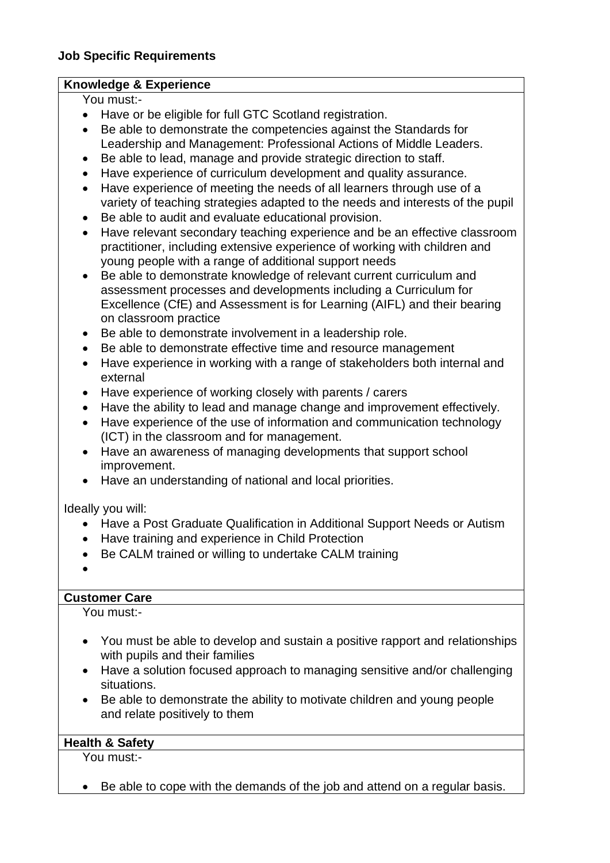#### **Knowledge & Experience**

You must:-

- Have or be eligible for full GTC Scotland registration.
- Be able to demonstrate the competencies against the Standards for Leadership and Management: Professional Actions of Middle Leaders.
- Be able to lead, manage and provide strategic direction to staff.
- Have experience of curriculum development and quality assurance.
- Have experience of meeting the needs of all learners through use of a variety of teaching strategies adapted to the needs and interests of the pupil
- Be able to audit and evaluate educational provision.
- Have relevant secondary teaching experience and be an effective classroom practitioner, including extensive experience of working with children and young people with a range of additional support needs
- Be able to demonstrate knowledge of relevant current curriculum and assessment processes and developments including a Curriculum for Excellence (CfE) and Assessment is for Learning (AIFL) and their bearing on classroom practice
- Be able to demonstrate involvement in a leadership role.
- Be able to demonstrate effective time and resource management
- Have experience in working with a range of stakeholders both internal and external
- Have experience of working closely with parents / carers
- Have the ability to lead and manage change and improvement effectively.
- Have experience of the use of information and communication technology (ICT) in the classroom and for management.
- Have an awareness of managing developments that support school improvement.
- Have an understanding of national and local priorities.

Ideally you will:

- Have a Post Graduate Qualification in Additional Support Needs or Autism
- Have training and experience in Child Protection
- Be CALM trained or willing to undertake CALM training
- •

# **Customer Care**

You must:-

- You must be able to develop and sustain a positive rapport and relationships with pupils and their families
- Have a solution focused approach to managing sensitive and/or challenging situations.
- Be able to demonstrate the ability to motivate children and young people and relate positively to them

# **Health & Safety**

You must:-

• Be able to cope with the demands of the job and attend on a regular basis.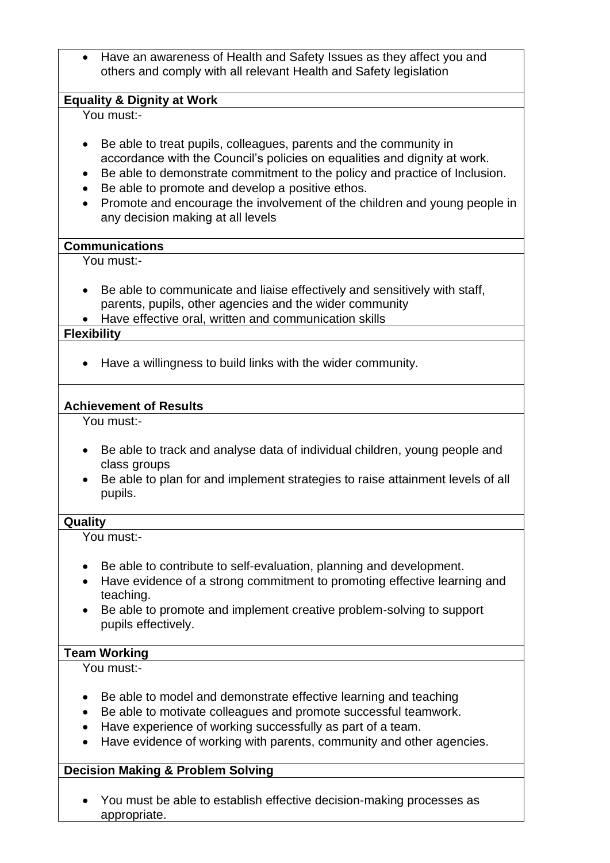• Have an awareness of Health and Safety Issues as they affect you and others and comply with all relevant Health and Safety legislation

#### **Equality & Dignity at Work**

You must:-

- Be able to treat pupils, colleagues, parents and the community in accordance with the Council's policies on equalities and dignity at work.
- Be able to demonstrate commitment to the policy and practice of Inclusion.
- Be able to promote and develop a positive ethos.
- Promote and encourage the involvement of the children and young people in any decision making at all levels

#### **Communications**

You must:-

- Be able to communicate and liaise effectively and sensitively with staff, parents, pupils, other agencies and the wider community
- Have effective oral, written and communication skills

#### **Flexibility**

• Have a willingness to build links with the wider community.

#### **Achievement of Results**

You must:-

- Be able to track and analyse data of individual children, young people and class groups
- Be able to plan for and implement strategies to raise attainment levels of all pupils.

#### **Quality**

You must:-

- Be able to contribute to self-evaluation, planning and development.
- Have evidence of a strong commitment to promoting effective learning and teaching.
- Be able to promote and implement creative problem-solving to support pupils effectively.

#### **Team Working**

You must:-

- Be able to model and demonstrate effective learning and teaching
- Be able to motivate colleagues and promote successful teamwork.
- Have experience of working successfully as part of a team.
- Have evidence of working with parents, community and other agencies.

#### **Decision Making & Problem Solving**

• You must be able to establish effective decision-making processes as appropriate.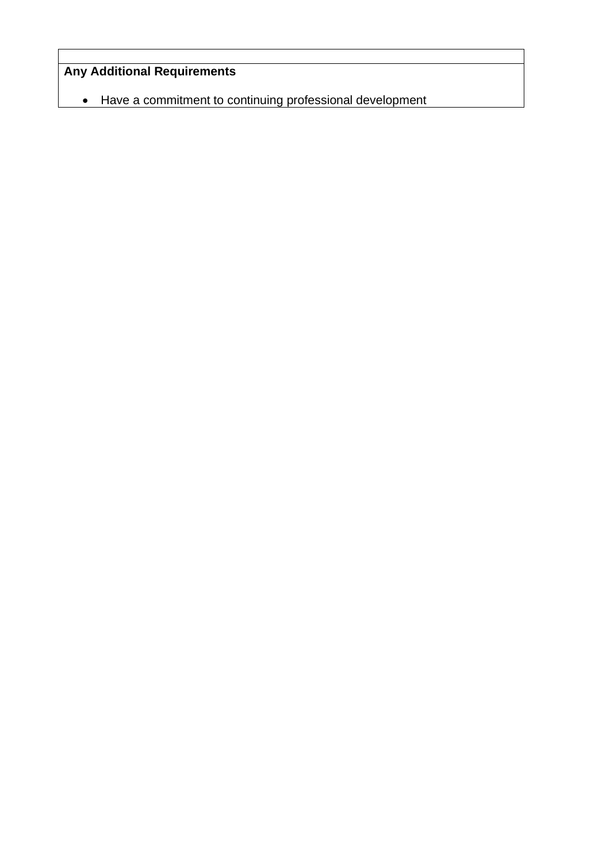# **Any Additional Requirements**

• Have a commitment to continuing professional development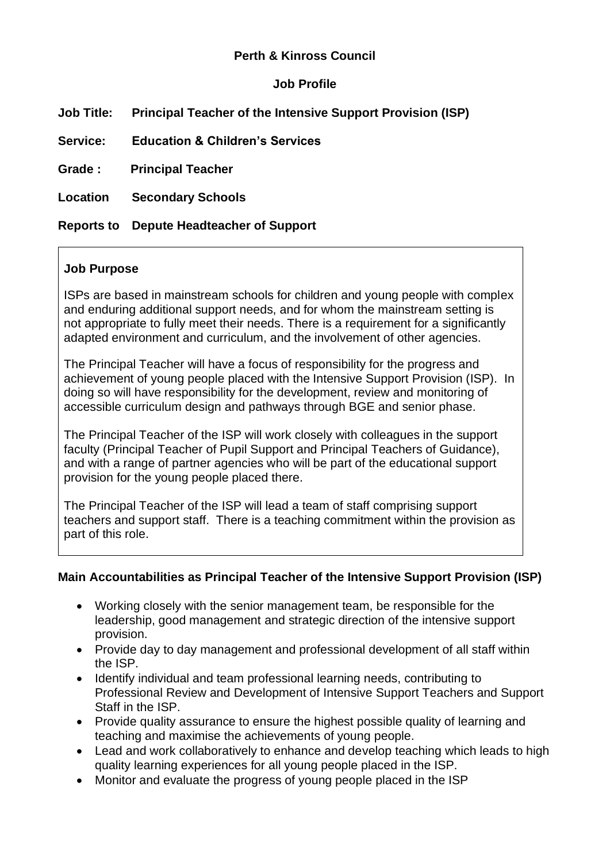# **Perth & Kinross Council**

# **Job Profile**

| <b>Job Title:</b> | <b>Principal Teacher of the Intensive Support Provision (ISP)</b> |
|-------------------|-------------------------------------------------------------------|
| <b>Service:</b>   | <b>Education &amp; Children's Services</b>                        |
| Grade :           | <b>Principal Teacher</b>                                          |
| Location          | <b>Secondary Schools</b>                                          |
|                   | <b>Reports to</b> Depute Headteacher of Support                   |

### **Job Purpose**

ISPs are based in mainstream schools for children and young people with complex and enduring additional support needs, and for whom the mainstream setting is not appropriate to fully meet their needs. There is a requirement for a significantly adapted environment and curriculum, and the involvement of other agencies.

The Principal Teacher will have a focus of responsibility for the progress and achievement of young people placed with the Intensive Support Provision (ISP). In doing so will have responsibility for the development, review and monitoring of accessible curriculum design and pathways through BGE and senior phase.

The Principal Teacher of the ISP will work closely with colleagues in the support faculty (Principal Teacher of Pupil Support and Principal Teachers of Guidance), and with a range of partner agencies who will be part of the educational support provision for the young people placed there.

The Principal Teacher of the ISP will lead a team of staff comprising support teachers and support staff. There is a teaching commitment within the provision as part of this role.

#### **Main Accountabilities as Principal Teacher of the Intensive Support Provision (ISP)**

- Working closely with the senior management team, be responsible for the leadership, good management and strategic direction of the intensive support provision.
- Provide day to day management and professional development of all staff within the ISP.
- Identify individual and team professional learning needs, contributing to Professional Review and Development of Intensive Support Teachers and Support Staff in the ISP.
- Provide quality assurance to ensure the highest possible quality of learning and teaching and maximise the achievements of young people.
- Lead and work collaboratively to enhance and develop teaching which leads to high quality learning experiences for all young people placed in the ISP.
- Monitor and evaluate the progress of young people placed in the ISP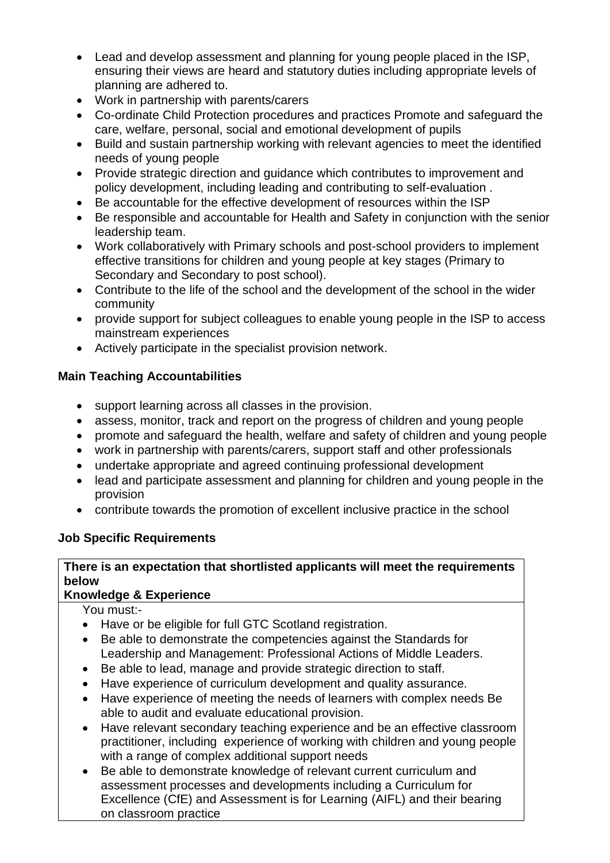- Lead and develop assessment and planning for young people placed in the ISP, ensuring their views are heard and statutory duties including appropriate levels of planning are adhered to.
- Work in partnership with parents/carers
- Co-ordinate Child Protection procedures and practices Promote and safeguard the care, welfare, personal, social and emotional development of pupils
- Build and sustain partnership working with relevant agencies to meet the identified needs of young people
- Provide strategic direction and guidance which contributes to improvement and policy development, including leading and contributing to self-evaluation .
- Be accountable for the effective development of resources within the ISP
- Be responsible and accountable for Health and Safety in conjunction with the senior leadership team.
- Work collaboratively with Primary schools and post-school providers to implement effective transitions for children and young people at key stages (Primary to Secondary and Secondary to post school).
- Contribute to the life of the school and the development of the school in the wider community
- provide support for subject colleagues to enable young people in the ISP to access mainstream experiences
- Actively participate in the specialist provision network.

# **Main Teaching Accountabilities**

- support learning across all classes in the provision.
- assess, monitor, track and report on the progress of children and young people
- promote and safeguard the health, welfare and safety of children and young people
- work in partnership with parents/carers, support staff and other professionals
- undertake appropriate and agreed continuing professional development
- lead and participate assessment and planning for children and young people in the provision
- contribute towards the promotion of excellent inclusive practice in the school

# **Job Specific Requirements**

# **There is an expectation that shortlisted applicants will meet the requirements below**

# **Knowledge & Experience**

You must:-

- Have or be eligible for full GTC Scotland registration.
- Be able to demonstrate the competencies against the Standards for Leadership and Management: Professional Actions of Middle Leaders.
- Be able to lead, manage and provide strategic direction to staff.
- Have experience of curriculum development and quality assurance.
- Have experience of meeting the needs of learners with complex needs Be able to audit and evaluate educational provision.
- Have relevant secondary teaching experience and be an effective classroom practitioner, including experience of working with children and young people with a range of complex additional support needs
- Be able to demonstrate knowledge of relevant current curriculum and assessment processes and developments including a Curriculum for Excellence (CfE) and Assessment is for Learning (AIFL) and their bearing on classroom practice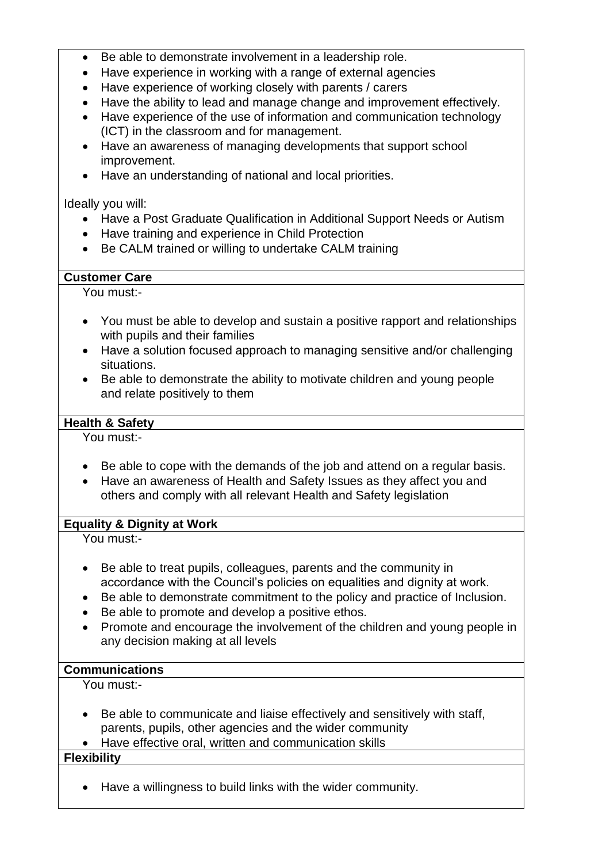- Be able to demonstrate involvement in a leadership role.
- Have experience in working with a range of external agencies
- Have experience of working closely with parents / carers
- Have the ability to lead and manage change and improvement effectively.
- Have experience of the use of information and communication technology (ICT) in the classroom and for management.
- Have an awareness of managing developments that support school improvement.
- Have an understanding of national and local priorities.

#### Ideally you will:

- Have a Post Graduate Qualification in Additional Support Needs or Autism
- Have training and experience in Child Protection
- Be CALM trained or willing to undertake CALM training

### **Customer Care**

You must:-

- You must be able to develop and sustain a positive rapport and relationships with pupils and their families
- Have a solution focused approach to managing sensitive and/or challenging situations.
- Be able to demonstrate the ability to motivate children and young people and relate positively to them

# **Health & Safety**

You must:-

- Be able to cope with the demands of the job and attend on a regular basis.
- Have an awareness of Health and Safety Issues as they affect you and others and comply with all relevant Health and Safety legislation

# **Equality & Dignity at Work**

You must:-

- Be able to treat pupils, colleagues, parents and the community in accordance with the Council's policies on equalities and dignity at work.
- Be able to demonstrate commitment to the policy and practice of Inclusion.
- Be able to promote and develop a positive ethos.
- Promote and encourage the involvement of the children and young people in any decision making at all levels

#### **Communications**

You must:-

- Be able to communicate and liaise effectively and sensitively with staff, parents, pupils, other agencies and the wider community
- Have effective oral, written and communication skills

# **Flexibility**

• Have a willingness to build links with the wider community.